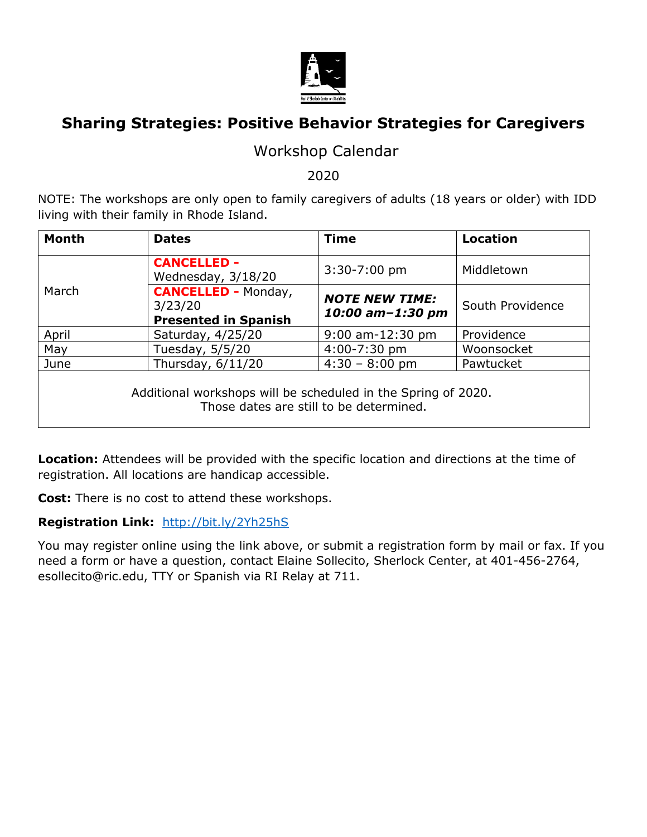

# **Sharing Strategies: Positive Behavior Strategies for Caregivers**

### Workshop Calendar

2020

NOTE: The workshops are only open to family caregivers of adults (18 years or older) with IDD living with their family in Rhode Island.

| <b>Month</b>                                                                                             | <b>Dates</b>                                                         | <b>Time</b>                               | <b>Location</b>  |  |
|----------------------------------------------------------------------------------------------------------|----------------------------------------------------------------------|-------------------------------------------|------------------|--|
|                                                                                                          | <b>CANCELLED -</b><br>Wednesday, 3/18/20                             | $3:30 - 7:00$ pm                          | Middletown       |  |
| March                                                                                                    | <b>CANCELLED - Monday,</b><br>3/23/20<br><b>Presented in Spanish</b> | <b>NOTE NEW TIME:</b><br>10:00 am-1:30 pm | South Providence |  |
| April                                                                                                    | Saturday, 4/25/20                                                    | $9:00$ am-12:30 pm                        | Providence       |  |
| May                                                                                                      | Tuesday, 5/5/20                                                      | 4:00-7:30 pm                              | Woonsocket       |  |
| June                                                                                                     | Thursday, 6/11/20                                                    | $4:30 - 8:00$ pm                          | Pawtucket        |  |
| Additional workshops will be scheduled in the Spring of 2020.<br>Those dates are still to be determined. |                                                                      |                                           |                  |  |

**Location:** Attendees will be provided with the specific location and directions at the time of registration. All locations are handicap accessible.

**Cost:** There is no cost to attend these workshops.

#### **Registration Link:** <http://bit.ly/2Yh25hS>

You may register online using the link above, or submit a registration form by mail or fax. If you need a form or have a question, contact Elaine Sollecito, Sherlock Center, at 401-456-2764, esollecito@ric.edu, TTY or Spanish via RI Relay at 711.